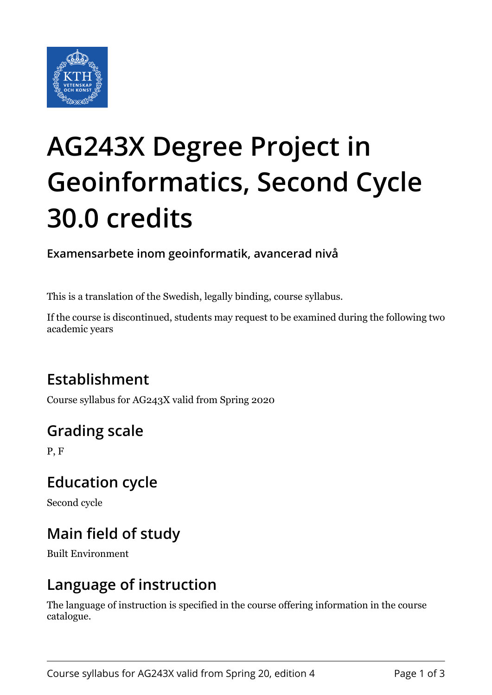

# **AG243X Degree Project in Geoinformatics, Second Cycle 30.0 credits**

**Examensarbete inom geoinformatik, avancerad nivå**

This is a translation of the Swedish, legally binding, course syllabus.

If the course is discontinued, students may request to be examined during the following two academic years

## **Establishment**

Course syllabus for AG243X valid from Spring 2020

# **Grading scale**

P, F

#### **Education cycle**

Second cycle

# **Main field of study**

Built Environment

#### **Language of instruction**

The language of instruction is specified in the course offering information in the course catalogue.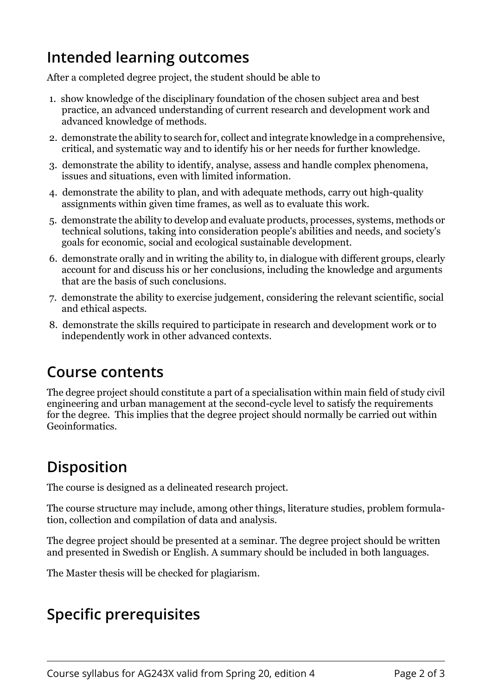## **Intended learning outcomes**

After a completed degree project, the student should be able to

- 1. show knowledge of the disciplinary foundation of the chosen subject area and best practice, an advanced understanding of current research and development work and advanced knowledge of methods.
- 2. demonstrate the ability to search for, collect and integrate knowledge in a comprehensive, critical, and systematic way and to identify his or her needs for further knowledge.
- 3. demonstrate the ability to identify, analyse, assess and handle complex phenomena, issues and situations, even with limited information.
- 4. demonstrate the ability to plan, and with adequate methods, carry out high-quality assignments within given time frames, as well as to evaluate this work.
- 5. demonstrate the ability to develop and evaluate products, processes, systems, methods or technical solutions, taking into consideration people's abilities and needs, and society's goals for economic, social and ecological sustainable development.
- 6. demonstrate orally and in writing the ability to, in dialogue with different groups, clearly account for and discuss his or her conclusions, including the knowledge and arguments that are the basis of such conclusions.
- 7. demonstrate the ability to exercise judgement, considering the relevant scientific, social and ethical aspects.
- 8. demonstrate the skills required to participate in research and development work or to independently work in other advanced contexts.

#### **Course contents**

The degree project should constitute a part of a specialisation within main field of study civil engineering and urban management at the second-cycle level to satisfy the requirements for the degree. This implies that the degree project should normally be carried out within Geoinformatics.

# **Disposition**

The course is designed as a delineated research project.

The course structure may include, among other things, literature studies, problem formulation, collection and compilation of data and analysis.

The degree project should be presented at a seminar. The degree project should be written and presented in Swedish or English. A summary should be included in both languages.

The Master thesis will be checked for plagiarism.

#### **Specific prerequisites**